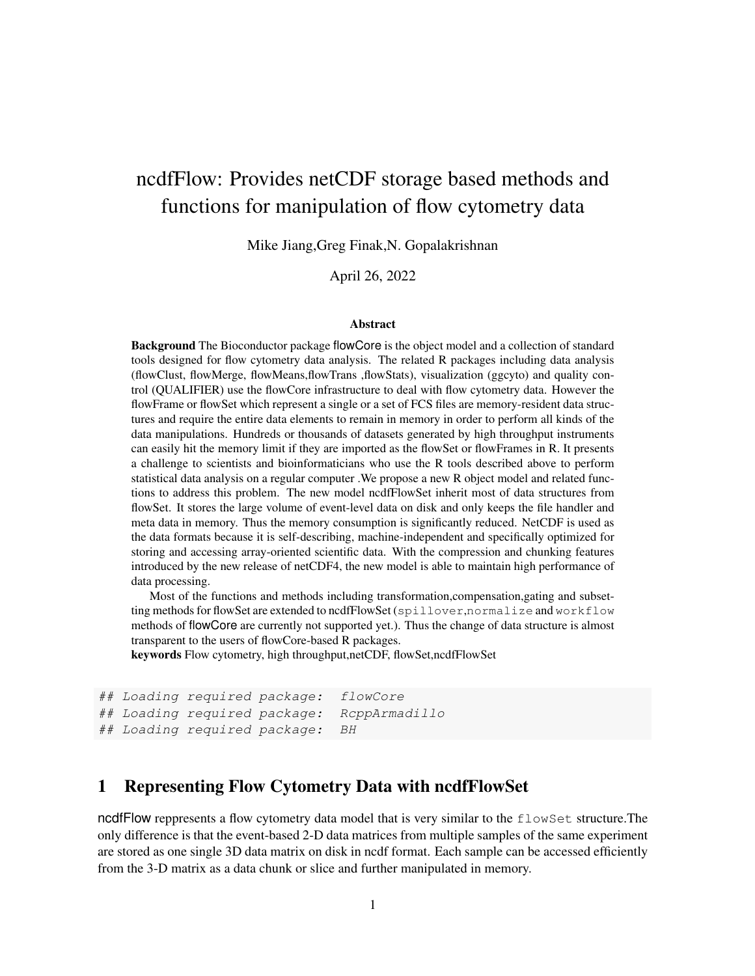# ncdfFlow: Provides netCDF storage based methods and functions for manipulation of flow cytometry data

Mike Jiang,Greg Finak,N. Gopalakrishnan

#### April 26, 2022

#### Abstract

Background The Bioconductor package flowCore is the object model and a collection of standard tools designed for flow cytometry data analysis. The related R packages including data analysis (flowClust, flowMerge, flowMeans,flowTrans ,flowStats), visualization (ggcyto) and quality control (QUALIFIER) use the flowCore infrastructure to deal with flow cytometry data. However the flowFrame or flowSet which represent a single or a set of FCS files are memory-resident data structures and require the entire data elements to remain in memory in order to perform all kinds of the data manipulations. Hundreds or thousands of datasets generated by high throughput instruments can easily hit the memory limit if they are imported as the flowSet or flowFrames in R. It presents a challenge to scientists and bioinformaticians who use the R tools described above to perform statistical data analysis on a regular computer .We propose a new R object model and related functions to address this problem. The new model ncdfFlowSet inherit most of data structures from flowSet. It stores the large volume of event-level data on disk and only keeps the file handler and meta data in memory. Thus the memory consumption is significantly reduced. NetCDF is used as the data formats because it is self-describing, machine-independent and specifically optimized for storing and accessing array-oriented scientific data. With the compression and chunking features introduced by the new release of netCDF4, the new model is able to maintain high performance of data processing.

Most of the functions and methods including transformation,compensation,gating and subsetting methods for flowSet are extended to ncdfFlowSet (spillover,normalize and workflow methods of flowCore are currently not supported yet.). Thus the change of data structure is almost transparent to the users of flowCore-based R packages.

keywords Flow cytometry, high throughput,netCDF, flowSet,ncdfFlowSet

```
## Loading required package: flowCore
## Loading required package: RcppArmadillo
## Loading required package: BH
```
## 1 Representing Flow Cytometry Data with ncdfFlowSet

ncdfFlow reppresents a flow cytometry data model that is very similar to the flowSet structure. The only difference is that the event-based 2-D data matrices from multiple samples of the same experiment are stored as one single 3D data matrix on disk in ncdf format. Each sample can be accessed efficiently from the 3-D matrix as a data chunk or slice and further manipulated in memory.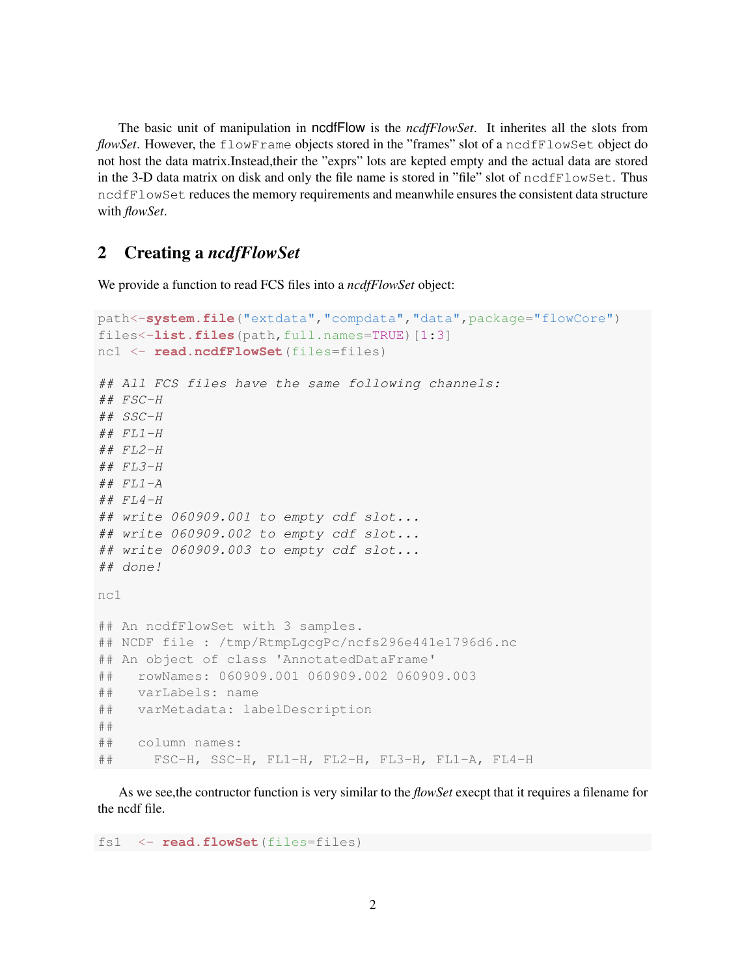The basic unit of manipulation in ncdfFlow is the *ncdfFlowSet*. It inherites all the slots from *flowSet*. However, the flowFrame objects stored in the "frames" slot of a ncdfFlowSet object do not host the data matrix.Instead,their the "exprs" lots are kepted empty and the actual data are stored in the 3-D data matrix on disk and only the file name is stored in "file" slot of ncdfFlowSet. Thus ncdfFlowSet reduces the memory requirements and meanwhile ensures the consistent data structure with *flowSet*.

## 2 Creating a *ncdfFlowSet*

We provide a function to read FCS files into a *ncdfFlowSet* object:

```
path<-system.file("extdata","compdata","data",package="flowCore")
files<-list.files(path,full.names=TRUE)[1:3]
nc1 <- read.ncdfFlowSet(files=files)
## All FCS files have the same following channels:
## FSC-H
## SSC-H
## FL1-H## FL2-H
## FL3-H## FL1-A## FL4-H
## write 060909.001 to empty cdf slot...
## write 060909.002 to empty cdf slot...
## write 060909.003 to empty cdf slot...
## done!
nc1
## An ncdfFlowSet with 3 samples.
## NCDF file : /tmp/RtmpLgcgPc/ncfs296e441e1796d6.nc
## An object of class 'AnnotatedDataFrame'
## rowNames: 060909.001 060909.002 060909.003
## varLabels: name
## varMetadata: labelDescription
##
## column names:
## FSC-H, SSC-H, FL1-H, FL2-H, FL3-H, FL1-A, FL4-H
```
As we see,the contructor function is very similar to the *flowSet* execpt that it requires a filename for the ncdf file.

fs1 <- **read.flowSet**(files=files)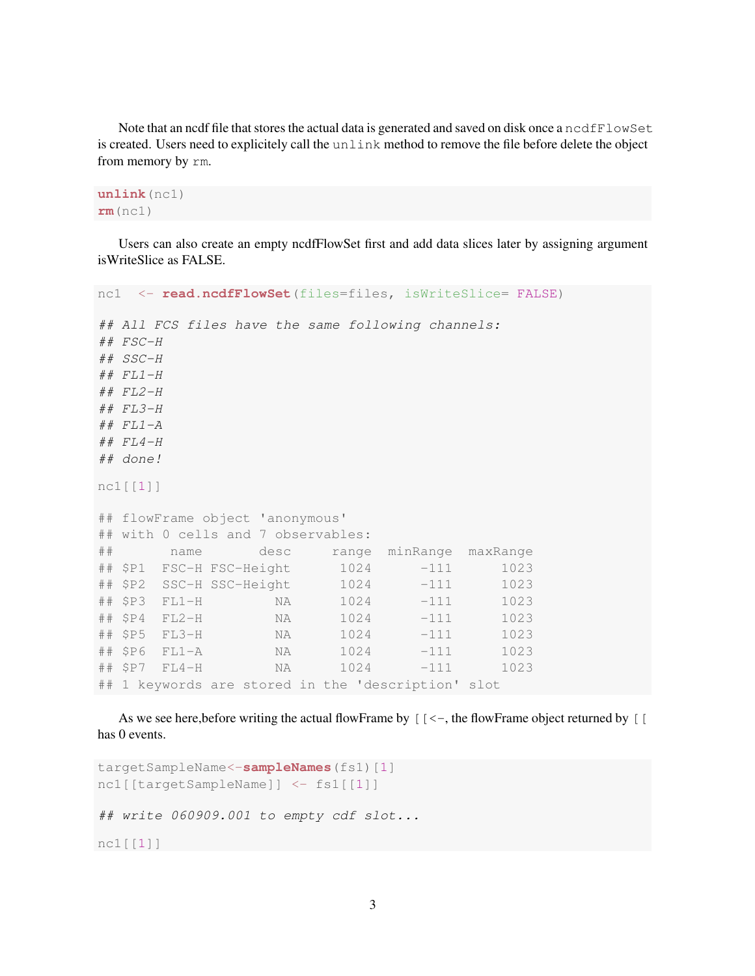Note that an ncdf file that stores the actual data is generated and saved on disk once a ncdfFlowSet is created. Users need to explicitely call the unlink method to remove the file before delete the object from memory by rm.

**unlink**(nc1) **rm**(nc1)

Users can also create an empty ncdfFlowSet first and add data slices later by assigning argument isWriteSlice as FALSE.

```
nc1 <- read.ncdfFlowSet(files=files, isWriteSlice= FALSE)
## All FCS files have the same following channels:
## FSC-H
## SSC-H
## FL1-H## FL2-H
## FL3-H
## FL1-A## FL4-H
## done!
nc1[[1]]
## flowFrame object 'anonymous'
## with 0 cells and 7 observables:
## name desc range minRange maxRange
## $P1 FSC-H FSC-Height 1024 -111 1023
## $P2 SSC-H SSC-Height 1024 -111 1023
## $P3 FL1-H NA 1024 -111 1023
## $P4 FL2-H NA 1024 -111 1023
## $P5 FL3-H NA 1024 -111 1023
## $P6 FL1-A NA 1024 -111 1023
## $P7 FL4-H NA 1024 -111 1023
## 1 keywords are stored in the 'description' slot
```
As we see here, before writing the actual flowFrame by  $[(-\cdot)]$ , the flowFrame object returned by  $[$ has 0 events.

```
targetSampleName<-sampleNames(fs1)[1]
nc1[[targetSampleName]] <- fs1[[1]]
## write 060909.001 to empty cdf slot...
nc1[[1]]
```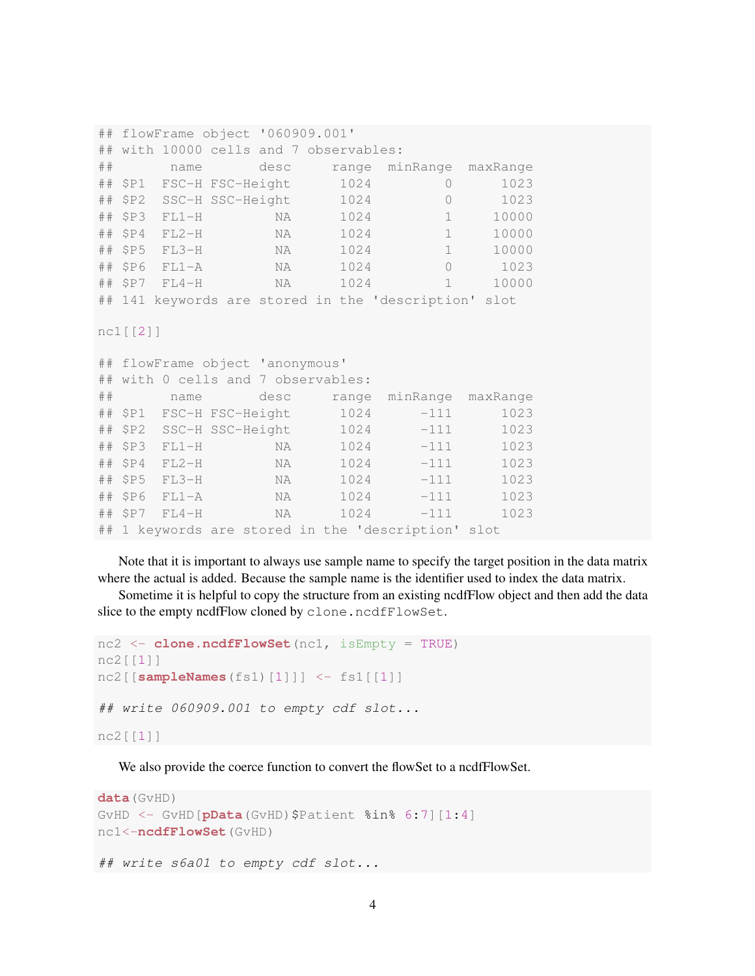```
## flowFrame object '060909.001'
## with 10000 cells and 7 observables:
## name desc range minRange maxRange
## $P1 FSC-H FSC-Height 1024 0 1023
## $P2 SSC-H SSC-Height 1024 0 1023
## $P3 FL1-H NA 1024 1 10000
## $P4 FL2-H NA 1024 1 10000
## $P5 FL3-H NA 1024 1 10000
## $P6 FL1-A NA 1024 0 1023
## $P7 FL4-H NA 1024 1 10000
## 141 keywords are stored in the 'description' slot
nc1[[2]]
## flowFrame object 'anonymous'
## with 0 cells and 7 observables:
## name desc range minRange maxRange
## $P1 FSC-H FSC-Height 1024 -111 1023
## $P2 SSC-H SSC-Height 1024 -111 1023
## $P3 FL1-H NA 1024 -111 1023
## $P4 FL2-H NA 1024 -111 1023
## $P5 FL3-H NA 1024 -111 1023
## $P6 FL1-A NA 1024 -111 1023
## $P7 FL4-H NA 1024 -111 1023
## 1 keywords are stored in the 'description' slot
```
Note that it is important to always use sample name to specify the target position in the data matrix where the actual is added. Because the sample name is the identifier used to index the data matrix.

Sometime it is helpful to copy the structure from an existing ncdfFlow object and then add the data slice to the empty ncdfFlow cloned by clone.ncdfFlowSet.

```
nc2 <- clone.ncdfFlowSet(nc1, isEmpty = TRUE)
nc2[[1]]
nc2[[sampleNames(fs1)[1]]] <- fs1[[1]]
## write 060909.001 to empty cdf slot...
nc2[[1]]
```
We also provide the coerce function to convert the flowSet to a ncdfFlowSet.

```
data(GvHD)
GVHD \leq GVHD [pData (GVHD) $Patient \text{\$in }\mathbb{R} 6:7] [1:4]
nc1<-ncdfFlowSet(GvHD)
## write s6a01 to empty cdf slot...
```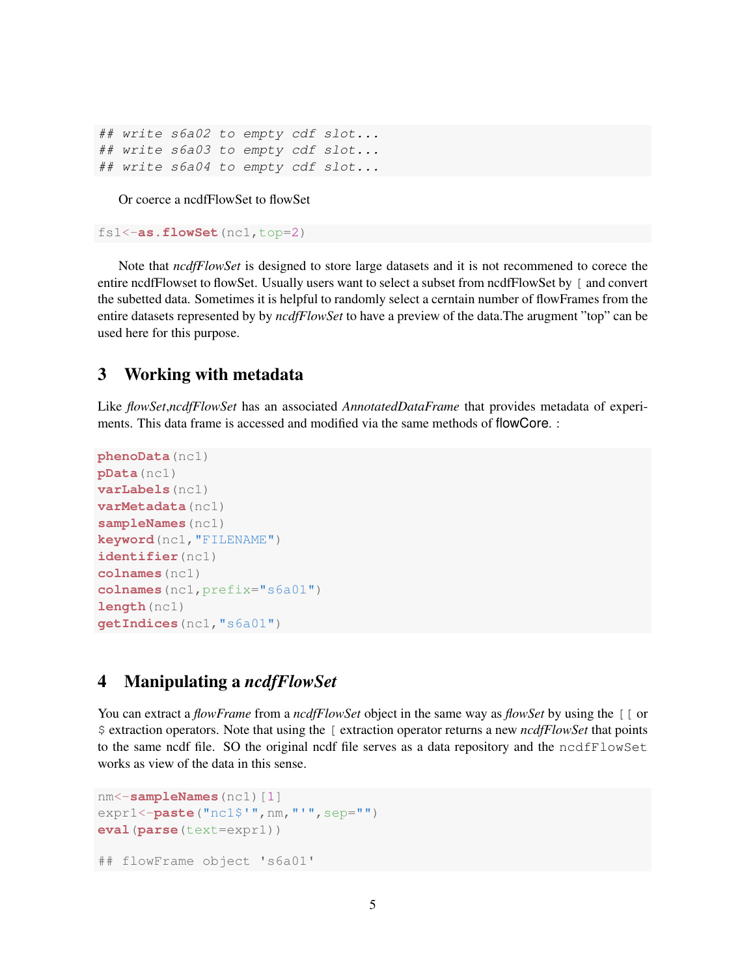```
## write s6a02 to empty cdf slot...
## write s6a03 to empty cdf slot...
## write s6a04 to empty cdf slot...
```
Or coerce a ncdfFlowSet to flowSet

```
fs1<-as.flowSet(nc1,top=2)
```
Note that *ncdfFlowSet* is designed to store large datasets and it is not recommened to corece the entire ncdfFlowset to flowSet. Usually users want to select a subset from ncdfFlowSet by [ and convert the subetted data. Sometimes it is helpful to randomly select a cerntain number of flowFrames from the entire datasets represented by by *ncdfFlowSet* to have a preview of the data.The arugment "top" can be used here for this purpose.

## 3 Working with metadata

Like *flowSet*,*ncdfFlowSet* has an associated *AnnotatedDataFrame* that provides metadata of experiments. This data frame is accessed and modified via the same methods of flowCore. :

```
phenoData(nc1)
pData(nc1)
varLabels(nc1)
varMetadata(nc1)
sampleNames(nc1)
keyword(nc1,"FILENAME")
identifier(nc1)
colnames(nc1)
colnames(nc1,prefix="s6a01")
length(nc1)
getIndices(nc1,"s6a01")
```
#### 4 Manipulating a *ncdfFlowSet*

You can extract a *flowFrame* from a *ncdfFlowSet* object in the same way as *flowSet* by using the [[ or \$ extraction operators. Note that using the [ extraction operator returns a new *ncdfFlowSet* that points to the same ncdf file. SO the original ncdf file serves as a data repository and the ncdfFlowSet works as view of the data in this sense.

```
nm<-sampleNames(nc1)[1]
expr1<-paste("nc1$'",nm,"'",sep="")
eval(parse(text=expr1))
## flowFrame object 's6a01'
```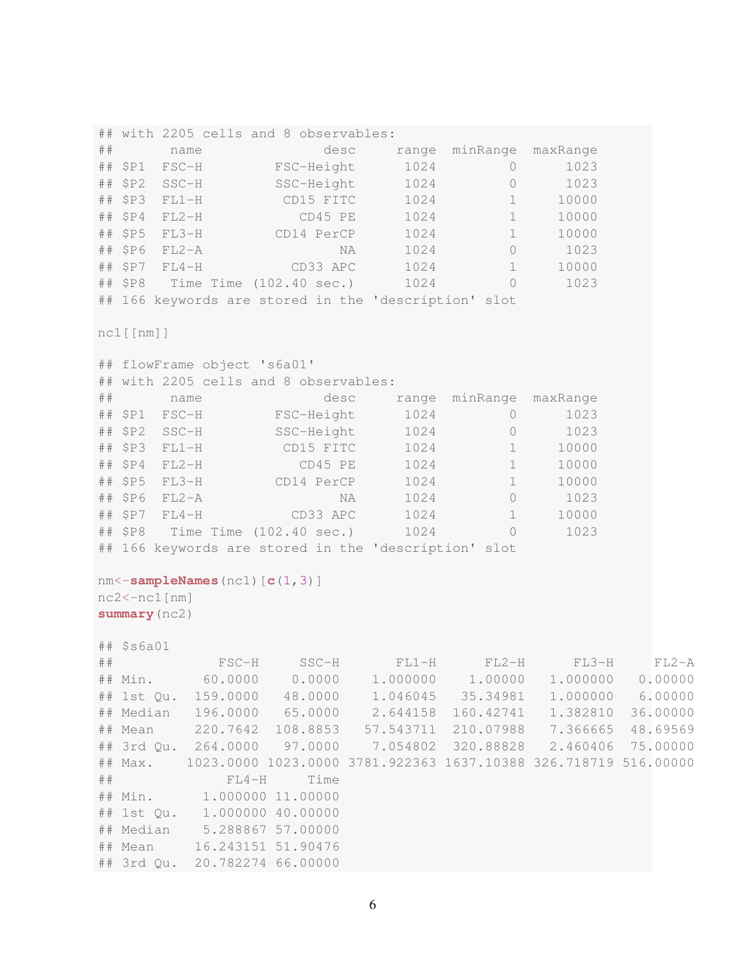## with 2205 cells and 8 observables: ## name desc range minRange maxRange ## \$P1 FSC-H FSC-Height 1024 0 1023 ## \$P2 SSC-H SSC-Height 1024 0 1023 ## \$P3 FL1-H CD15 FITC 1024 1 10000 ## \$P4 FL2-H CD45 PE 1024 1 10000 ## \$P5 FL3-H CD14 PerCP 1024 1 10000 ## \$P6 FL2-A NA 1024 0 1023 ## \$P7 FL4-H CD33 APC 1024 1 10000 ## \$P8 Time Time (102.40 sec.) 1024 0 1023 ## 166 keywords are stored in the 'description' slot nc1[[nm]] ## flowFrame object 's6a01' ## with 2205 cells and 8 observables: ## name desc range minRange maxRange ## \$P1 FSC-H FSC-Height 1024 0 1023 ## \$P2 SSC-H SSC-Height 1024 0 1023 ## \$P3 FL1-H CD15 FITC 1024 1 10000 ## \$P4 FL2-H CD45 PE 1024 1 10000 ## \$P5 FL3-H CD14 PerCP 1024 1 10000 ## \$P6 FL2-A NA 1024 0 1023 ## \$P7 FL4-H CD33 APC 1024 1 10000 ## \$P8 Time Time (102.40 sec.) 1024 0 1023 ## 166 keywords are stored in the 'description' slot nm<-**sampleNames**(nc1)[**c**(1,3)] nc2<-nc1[nm] **summary**(nc2) ## \$s6a01 ## FSC-H SSC-H FL1-H FL2-H FL3-H FL2-A ## Min. 60.0000 0.0000 1.000000 1.00000 1.000000 0.00000 ## 1st Qu. 159.0000 48.0000 1.046045 35.34981 1.000000 6.00000 ## Median 196.0000 65.0000 2.644158 160.42741 1.382810 36.00000 ## Mean 220.7642 108.8853 57.543711 210.07988 7.366665 48.69569 ## 3rd Qu. 264.0000 97.0000 7.054802 320.88828 2.460406 75.00000 ## Max. 1023.0000 1023.0000 3781.922363 1637.10388 326.718719 516.00000 ## FL4-H Time ## Min. 1.000000 11.00000 ## 1st Qu. 1.000000 40.00000 ## Median 5.288867 57.00000 ## Mean 16.243151 51.90476 ## 3rd Qu. 20.782274 66.00000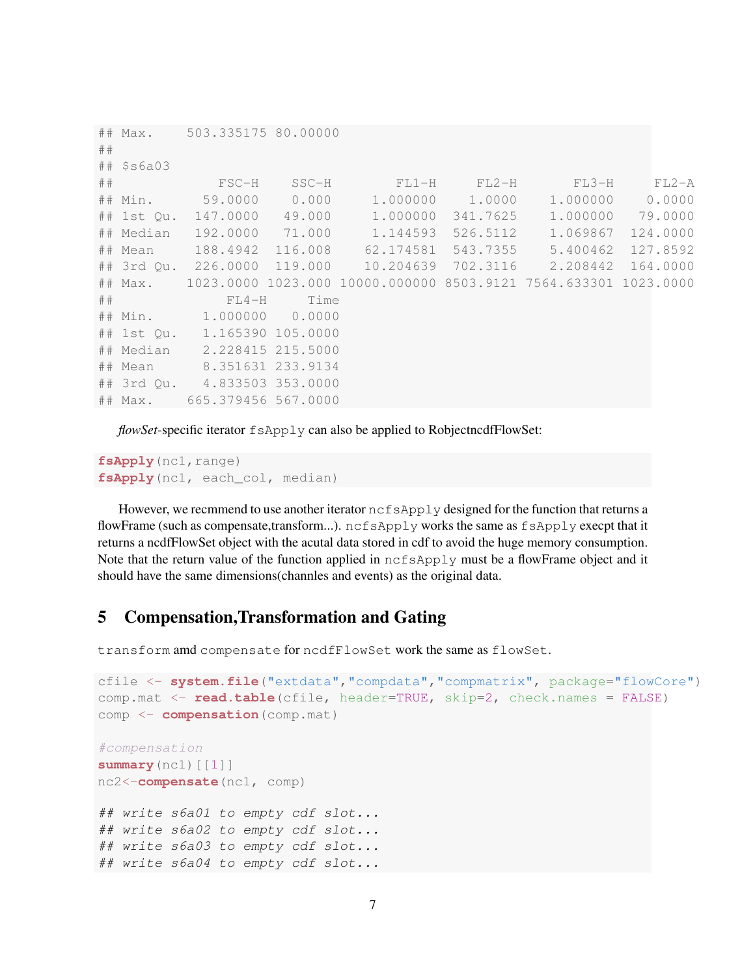```
## Max. 503.335175 80.00000
##
## $s6a03
## FSC-H SSC-H FL1-H FL2-H FL3-H FL2-A
## Min. 59.0000 0.000 1.000000 1.0000 1.000000 0.0000
## 1st Qu. 147.0000 49.000 1.000000 341.7625 1.000000 79.0000
## Median 192.0000 71.000 1.144593 526.5112 1.069867 124.0000
## Mean 188.4942 116.008 62.174581 543.7355 5.400462 127.8592
## 3rd Qu. 226.0000 119.000 10.204639 702.3116 2.208442 164.0000
## Max. 1023.0000 1023.000 10000.000000 8503.9121 7564.633301 1023.0000
## FL4-H Time
## Min. 1.000000 0.0000
## 1st Qu. 1.165390 105.0000
## Median 2.228415 215.5000
## Mean 8.351631 233.9134
## 3rd Qu. 4.833503 353.0000
## Max. 665.379456 567.0000
```
*flowSet*-specific iterator fsApply can also be applied to RobjectncdfFlowSet:

```
fsApply(nc1, range)
fsApply(nc1, each_col, median)
```
However, we recmmend to use another iterator  $n \in \text{SApply designed}$  for the function that returns a flowFrame (such as compensate,transform...). ncfsApply works the same as fsApply execpt that it returns a ncdfFlowSet object with the acutal data stored in cdf to avoid the huge memory consumption. Note that the return value of the function applied in  $ncfsApply$  must be a flowFrame object and it should have the same dimensions(channles and events) as the original data.

#### 5 Compensation,Transformation and Gating

transform amd compensate for ncdfFlowSet work the same as flowSet.

```
cfile <- system.file("extdata","compdata","compmatrix", package="flowCore")
comp.mat <- read.table(cfile, header=TRUE, skip=2, check.names = FALSE)
comp <- compensation(comp.mat)
#compensation
summary(nc1)[[1]]
nc2<-compensate(nc1, comp)
## write s6a01 to empty cdf slot...
## write s6a02 to empty cdf slot...
## write s6a03 to empty cdf slot...
## write s6a04 to empty cdf slot...
```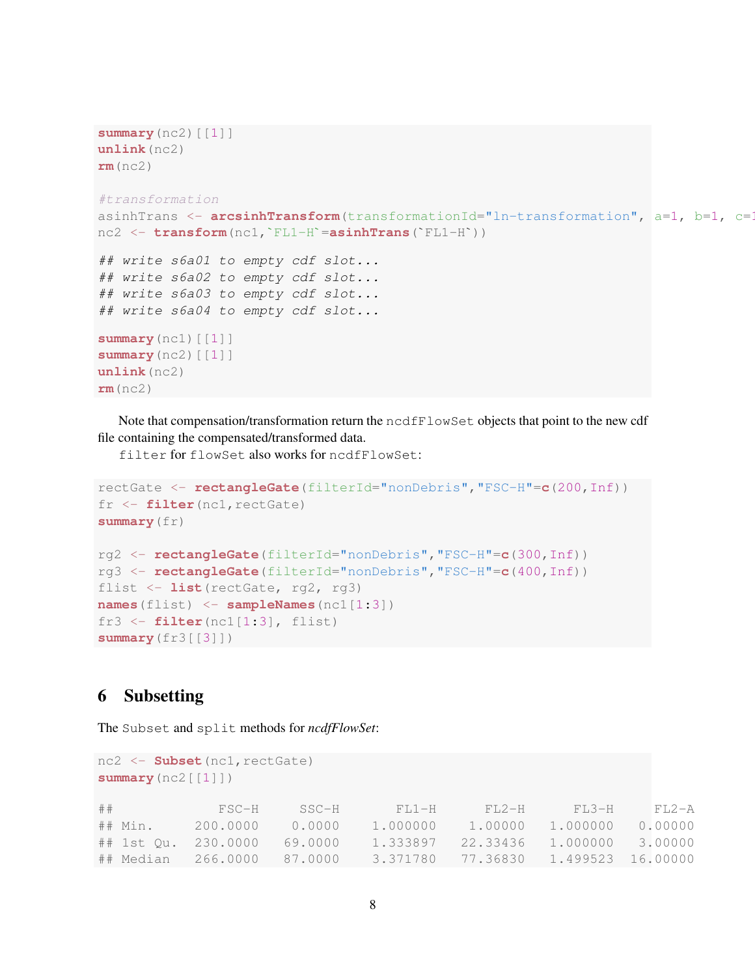```
summary(nc2)[[1]]
unlink(nc2)
rm(nc2)
#transformation
asinhTrans <- arcsinhTransform(transformationId="ln-transformation", a=1, b=1, c=1
nc2 <- transform(nc1,`FL1-H`=asinhTrans(`FL1-H`))
## write s6a01 to empty cdf slot...
## write s6a02 to empty cdf slot...
## write s6a03 to empty cdf slot...
## write s6a04 to empty cdf slot...
summary(nc1)[[1]]
summary(nc2)[[1]]
unlink(nc2)
rm(nc2)
```
Note that compensation/transformation return the ncdfFlowSet objects that point to the new cdf file containing the compensated/transformed data.

filter for flowSet also works for ncdfFlowSet:

```
rectGate <- rectangleGate(filterId="nonDebris","FSC-H"=c(200,Inf))
fr <- filter(nc1,rectGate)
summary(fr)
rg2 <- rectangleGate(filterId="nonDebris","FSC-H"=c(300,Inf))
rg3 <- rectangleGate(filterId="nonDebris","FSC-H"=c(400,Inf))
flist <- list(rectGate, rg2, rg3)
names(flist) <- sampleNames(nc1[1:3])
fr3 <- filter(nc1[1:3], flist)
summary(fr3[[3]])
```
## 6 Subsetting

The Subset and split methods for *ncdfFlowSet*:

```
nc2 <- Subset(nc1,rectGate)
summary(nc2[[1]])
## FSC-H SSC-H FL1-H FL2-H FL3-H FL2-A
## Min. 200.0000 0.0000 1.000000 1.00000 1.000000 0.00000
## 1st Qu. 230.0000 69.0000 1.333897 22.33436 1.000000 3.00000
## Median 266.0000 87.0000 3.371780 77.36830 1.499523 16.00000
```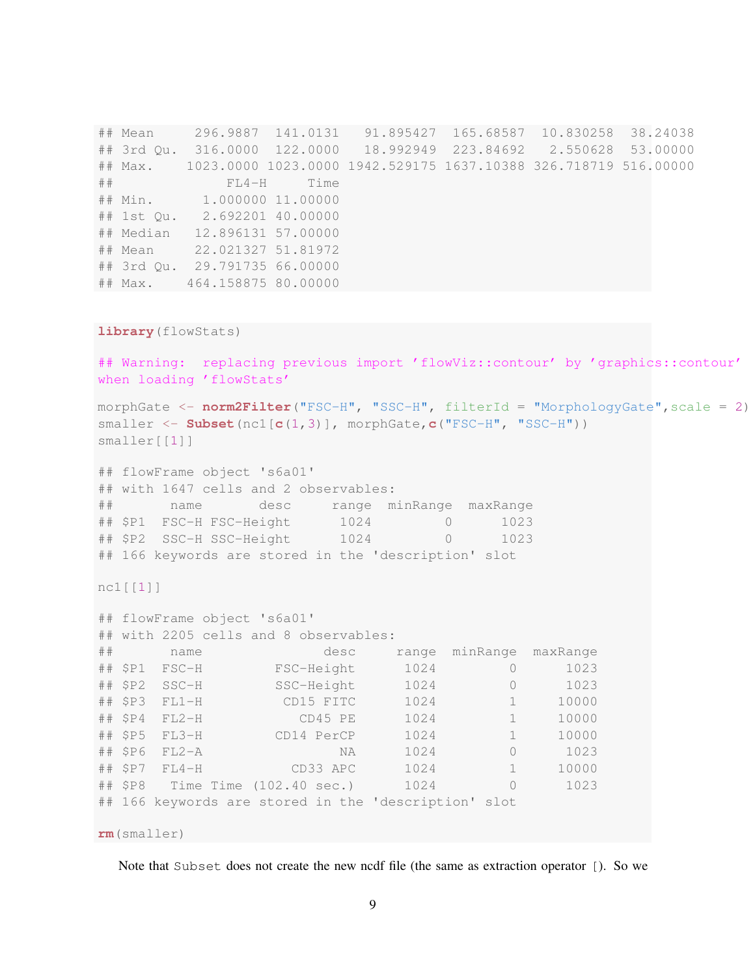## Mean 296.9887 141.0131 91.895427 165.68587 10.830258 38.24038 ## 3rd Qu. 316.0000 122.0000 18.992949 223.84692 2.550628 53.00000 ## Max. 1023.0000 1023.0000 1942.529175 1637.10388 326.718719 516.00000 ## FL4-H Time ## Min. 1.000000 11.00000 ## 1st Qu. 2.692201 40.00000 ## Median 12.896131 57.00000 ## Mean 22.021327 51.81972 ## 3rd Qu. 29.791735 66.00000 ## Max. 464.158875 80.00000

```
library(flowStats)
```
## Warning: replacing previous import 'flowViz::contour' by 'graphics::contour' when loading 'flowStats'

morphGate <- **norm2Filter**("FSC-H", "SSC-H", filterId = "MorphologyGate", scale = 2) smaller <- **Subset**(nc1[**c**(1,3)], morphGate,**c**("FSC-H", "SSC-H")) smaller[[1]]

## flowFrame object 's6a01' ## with 1647 cells and 2 observables: ## name desc range minRange maxRange ## \$P1 FSC-H FSC-Height 1024 0 1023 ## \$P2 SSC-H SSC-Height 1024 0 1023 ## 166 keywords are stored in the 'description' slot

nc1[[1]]

```
## flowFrame object 's6a01'
## with 2205 cells and 8 observables:
## name desc range minRange maxRange
## $P1 FSC-H FSC-Height 1024 0 1023
## $P2 SSC-H SSC-Height 1024 0 1023
## $P3 FL1-H CD15 FITC 1024 1 10000
## $P4 FL2-H CD45 PE 1024 1 10000
## $P5 FL3-H CD14 PerCP 1024 1 10000
## $P6 FL2-A NA 1024 0 1023
## $P7 FL4-H CD33 APC 1024 1 10000
## $P8 Time Time (102.40 sec.) 1024 0 1023
## 166 keywords are stored in the 'description' slot
rm(smaller)
```
Note that Subset does not create the new ncdf file (the same as extraction operator [). So we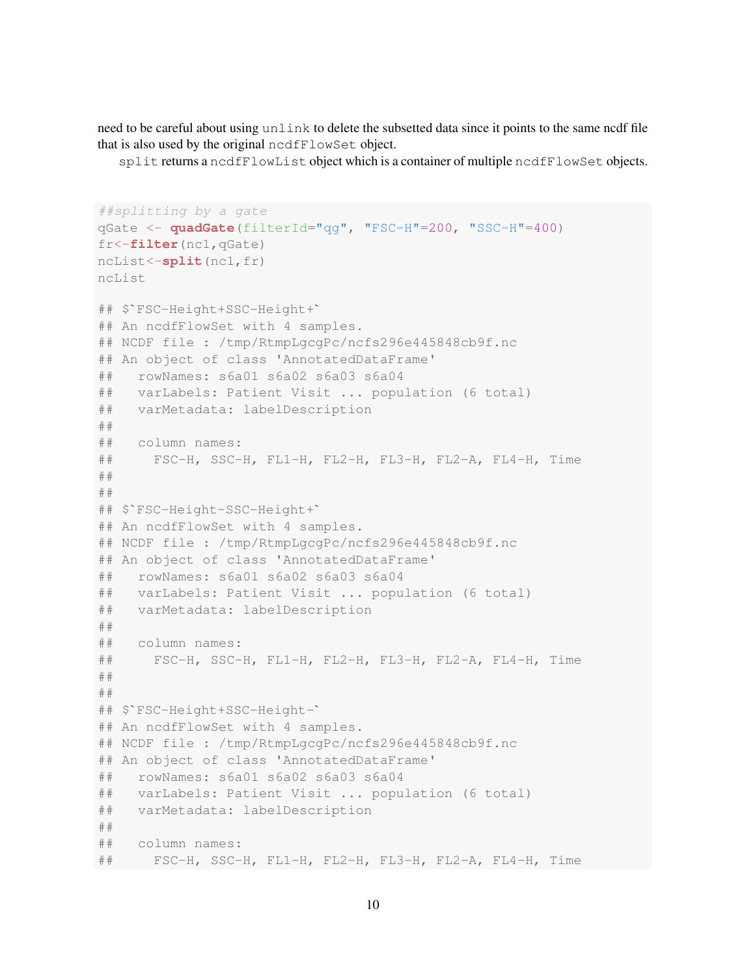need to be careful about using unlink to delete the subsetted data since it points to the same ncdf file that is also used by the original ncdfFlowSet object.

split returns a ncdfFlowList object which is a container of multiple ncdfFlowSet objects.

```
##splitting by a gate
qGate <- quadGate(filterId="qg", "FSC-H"=200, "SSC-H"=400)
fr<-filter(nc1,qGate)
ncList<-split(nc1,fr)
ncList
## $`FSC-Height+SSC-Height+`
## An ncdfFlowSet with 4 samples.
## NCDF file : /tmp/RtmpLgcgPc/ncfs296e445848cb9f.nc
## An object of class 'AnnotatedDataFrame'
## rowNames: s6a01 s6a02 s6a03 s6a04
## varLabels: Patient Visit ... population (6 total)
## varMetadata: labelDescription
##
## column names:
## FSC-H, SSC-H, FL1-H, FL2-H, FL3-H, FL2-A, FL4-H, Time
##
##
## $`FSC-Height-SSC-Height+`
## An ncdfFlowSet with 4 samples.
## NCDF file : /tmp/RtmpLgcgPc/ncfs296e445848cb9f.nc
## An object of class 'AnnotatedDataFrame'
## rowNames: s6a01 s6a02 s6a03 s6a04
## varLabels: Patient Visit ... population (6 total)
## varMetadata: labelDescription
##
## column names:
## FSC-H, SSC-H, FL1-H, FL2-H, FL3-H, FL2-A, FL4-H, Time
##
##
## $`FSC-Height+SSC-Height-`
## An ncdfFlowSet with 4 samples.
## NCDF file : /tmp/RtmpLgcgPc/ncfs296e445848cb9f.nc
## An object of class 'AnnotatedDataFrame'
## rowNames: s6a01 s6a02 s6a03 s6a04
## varLabels: Patient Visit ... population (6 total)
## varMetadata: labelDescription
##
## column names:
## FSC-H, SSC-H, FL1-H, FL2-H, FL3-H, FL2-A, FL4-H, Time
```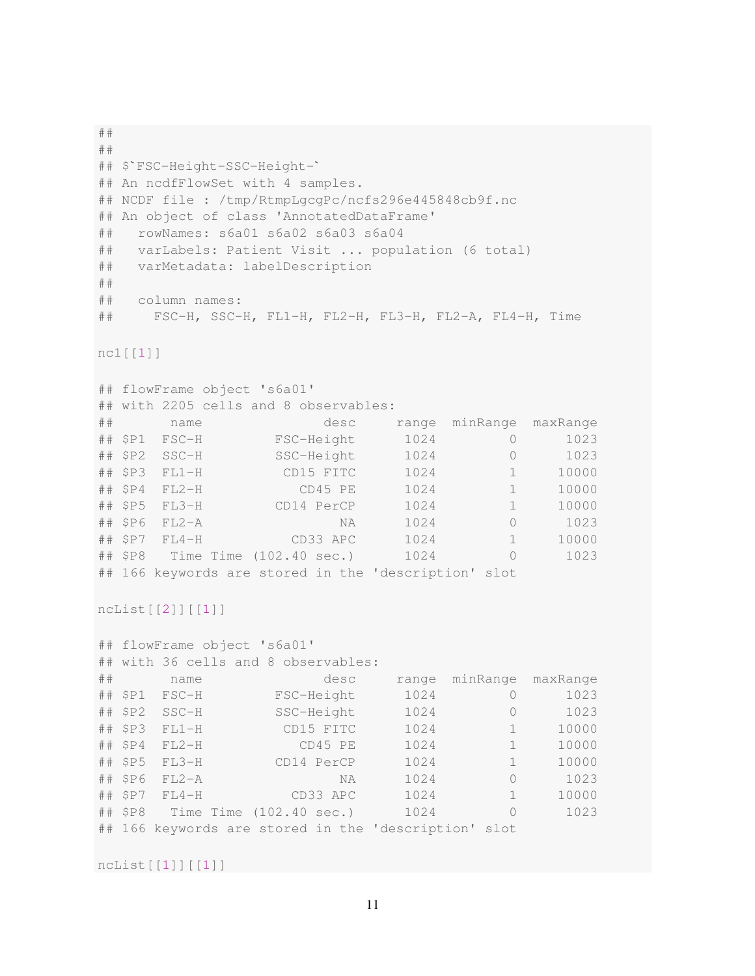```
##
##
## $`FSC-Height-SSC-Height-`
## An ncdfFlowSet with 4 samples.
## NCDF file : /tmp/RtmpLgcgPc/ncfs296e445848cb9f.nc
## An object of class 'AnnotatedDataFrame'
## rowNames: s6a01 s6a02 s6a03 s6a04
## varLabels: Patient Visit ... population (6 total)
## varMetadata: labelDescription
##
## column names:
## FSC-H, SSC-H, FL1-H, FL2-H, FL3-H, FL2-A, FL4-H, Time
nc1[[1]]
## flowFrame object 's6a01'
## with 2205 cells and 8 observables:
## name desc range minRange maxRange
## $P1 FSC-H FSC-Height 1024 0 1023
## $P2 SSC-H SSC-Height 1024 0 1023
## $P3 FL1-H CD15 FITC 1024 1 10000
## $P4 FL2-H CD45 PE 1024 1 10000
## $P5 FL3-H CD14 PerCP 1024 1 10000
## $P6 FL2-A NA 1024 0 1023
## $P7 FL4-H CD33 APC 1024 1 10000
## $P8 Time Time (102.40 sec.) 1024 0 1023
## 166 keywords are stored in the 'description' slot
ncList[[2]][[1]]
## flowFrame object 's6a01'
## with 36 cells and 8 observables:
## name desc range minRange maxRange
## $P1 FSC-H FSC-Height 1024 0 1023
## $P2 SSC-H SSC-Height 1024 0 1023
## $P3 FL1-H CD15 FITC 1024 1 10000
## $P4 FL2-H CD45 PE 1024 1 10000
## $P5 FL3-H CD14 PerCP 1024 1 10000
## $P6 FL2-A NA 1024 0 1023
## $P7 FL4-H CD33 APC 1024 1 10000
## $P8 Time Time (102.40 sec.) 1024 0 1023
## 166 keywords are stored in the 'description' slot
ncList[[1]][[1]]
```

```
11
```